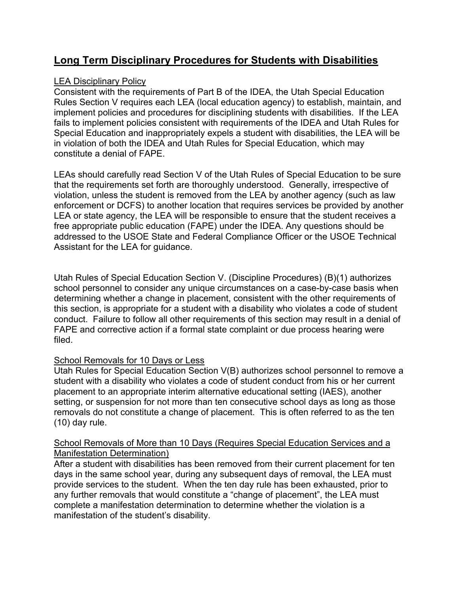# **Long Term Disciplinary Procedures for Students with Disabilities**

## LEA Disciplinary Policy

Consistent with the requirements of Part B of the IDEA, the Utah Special Education Rules Section V requires each LEA (local education agency) to establish, maintain, and implement policies and procedures for disciplining students with disabilities. If the LEA fails to implement policies consistent with requirements of the IDEA and Utah Rules for Special Education and inappropriately expels a student with disabilities, the LEA will be in violation of both the IDEA and Utah Rules for Special Education, which may constitute a denial of FAPE.

LEAs should carefully read Section V of the Utah Rules of Special Education to be sure that the requirements set forth are thoroughly understood. Generally, irrespective of violation, unless the student is removed from the LEA by another agency (such as law enforcement or DCFS) to another location that requires services be provided by another LEA or state agency, the LEA will be responsible to ensure that the student receives a free appropriate public education (FAPE) under the IDEA. Any questions should be addressed to the USOE State and Federal Compliance Officer or the USOE Technical Assistant for the LEA for guidance.

Utah Rules of Special Education Section V. (Discipline Procedures) (B)(1) authorizes school personnel to consider any unique circumstances on a case-by-case basis when determining whether a change in placement, consistent with the other requirements of this section, is appropriate for a student with a disability who violates a code of student conduct. Failure to follow all other requirements of this section may result in a denial of FAPE and corrective action if a formal state complaint or due process hearing were filed.

## School Removals for 10 Days or Less

Utah Rules for Special Education Section V(B) authorizes school personnel to remove a student with a disability who violates a code of student conduct from his or her current placement to an appropriate interim alternative educational setting (IAES), another setting, or suspension for not more than ten consecutive school days as long as those removals do not constitute a change of placement. This is often referred to as the ten (10) day rule.

#### School Removals of More than 10 Days (Requires Special Education Services and a Manifestation Determination)

After a student with disabilities has been removed from their current placement for ten days in the same school year, during any subsequent days of removal, the LEA must provide services to the student. When the ten day rule has been exhausted, prior to any further removals that would constitute a "change of placement", the LEA must complete a manifestation determination to determine whether the violation is a manifestation of the student's disability.